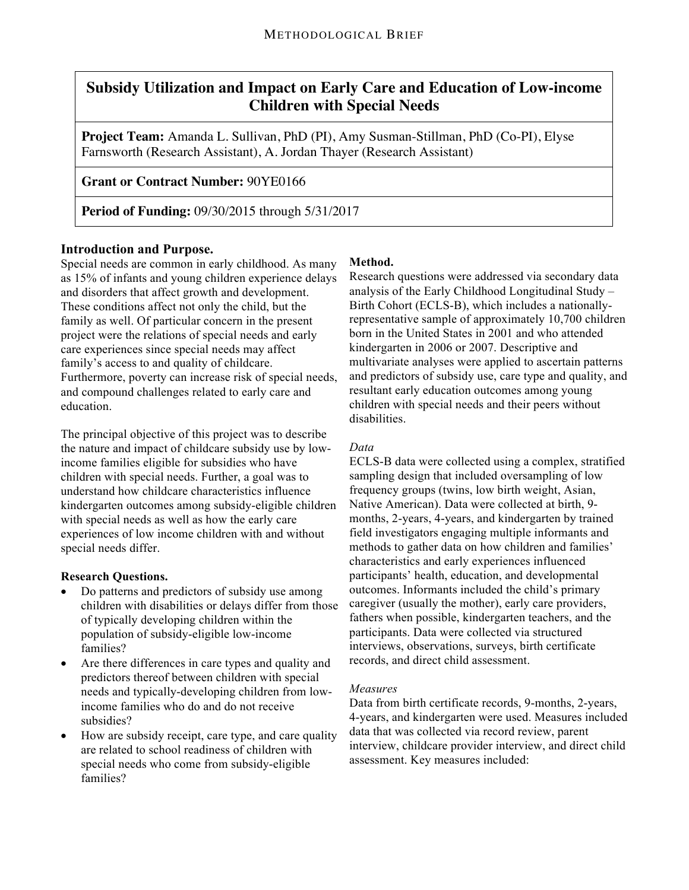# **Subsidy Utilization and Impact on Early Care and Education of Low-income Children with Special Needs**

**Project Team:** Amanda L. Sullivan, PhD (PI), Amy Susman-Stillman, PhD (Co-PI), Elyse Farnsworth (Research Assistant), A. Jordan Thayer (Research Assistant)

## **Grant or Contract Number:** 90YE0166

**Period of Funding:** 09/30/2015 through 5/31/2017

### **Introduction and Purpose.**

Special needs are common in early childhood. As many as 15% of infants and young children experience delays and disorders that affect growth and development. These conditions affect not only the child, but the family as well. Of particular concern in the present project were the relations of special needs and early care experiences since special needs may affect family's access to and quality of childcare. Furthermore, poverty can increase risk of special needs, and compound challenges related to early care and education.

The principal objective of this project was to describe the nature and impact of childcare subsidy use by lowincome families eligible for subsidies who have children with special needs. Further, a goal was to understand how childcare characteristics influence kindergarten outcomes among subsidy-eligible children with special needs as well as how the early care experiences of low income children with and without special needs differ.

### **Research Questions.**

- Do patterns and predictors of subsidy use among children with disabilities or delays differ from those of typically developing children within the population of subsidy-eligible low-income families?
- Are there differences in care types and quality and predictors thereof between children with special needs and typically-developing children from lowincome families who do and do not receive subsidies?
- How are subsidy receipt, care type, and care quality are related to school readiness of children with special needs who come from subsidy-eligible families?

### **Method.**

Research questions were addressed via secondary data analysis of the Early Childhood Longitudinal Study – Birth Cohort (ECLS-B), which includes a nationallyrepresentative sample of approximately 10,700 children born in the United States in 2001 and who attended kindergarten in 2006 or 2007. Descriptive and multivariate analyses were applied to ascertain patterns and predictors of subsidy use, care type and quality, and resultant early education outcomes among young children with special needs and their peers without disabilities.

### *Data*

ECLS-B data were collected using a complex, stratified sampling design that included oversampling of low frequency groups (twins, low birth weight, Asian, Native American). Data were collected at birth, 9 months, 2-years, 4-years, and kindergarten by trained field investigators engaging multiple informants and methods to gather data on how children and families' characteristics and early experiences influenced participants' health, education, and developmental outcomes. Informants included the child's primary caregiver (usually the mother), early care providers, fathers when possible, kindergarten teachers, and the participants. Data were collected via structured interviews, observations, surveys, birth certificate records, and direct child assessment.

### *Measures*

Data from birth certificate records, 9-months, 2-years, 4-years, and kindergarten were used. Measures included data that was collected via record review, parent interview, childcare provider interview, and direct child assessment. Key measures included: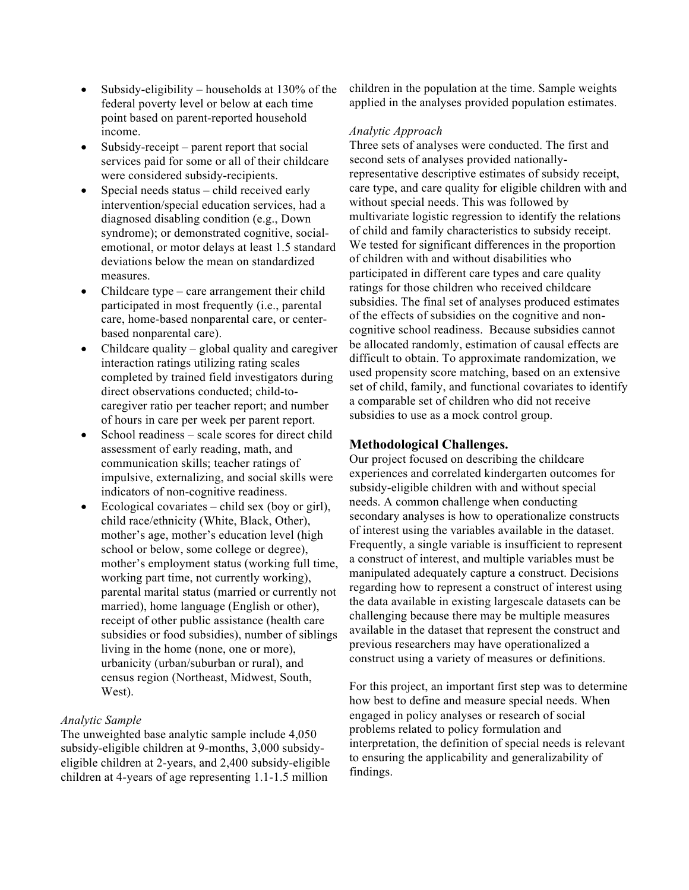- Subsidy-eligibility households at  $130\%$  of the federal poverty level or below at each time point based on parent-reported household income.
- Subsidy-receipt parent report that social services paid for some or all of their childcare were considered subsidy-recipients.
- Special needs status child received early intervention/special education services, had a diagnosed disabling condition (e.g., Down syndrome); or demonstrated cognitive, socialemotional, or motor delays at least 1.5 standard deviations below the mean on standardized measures.
- Childcare type care arrangement their child participated in most frequently (i.e., parental care, home-based nonparental care, or centerbased nonparental care).
- Childcare quality global quality and caregiver interaction ratings utilizing rating scales completed by trained field investigators during direct observations conducted; child-tocaregiver ratio per teacher report; and number of hours in care per week per parent report.
- School readiness scale scores for direct child assessment of early reading, math, and communication skills; teacher ratings of impulsive, externalizing, and social skills were indicators of non-cognitive readiness.
- Ecological covariates child sex (boy or girl), child race/ethnicity (White, Black, Other), mother's age, mother's education level (high school or below, some college or degree), mother's employment status (working full time, working part time, not currently working), parental marital status (married or currently not married), home language (English or other), receipt of other public assistance (health care subsidies or food subsidies), number of siblings living in the home (none, one or more), urbanicity (urban/suburban or rural), and census region (Northeast, Midwest, South, West).

#### *Analytic Sample*

The unweighted base analytic sample include 4,050 subsidy-eligible children at 9-months, 3,000 subsidyeligible children at 2-years, and 2,400 subsidy-eligible children at 4-years of age representing 1.1-1.5 million

children in the population at the time. Sample weights applied in the analyses provided population estimates.

#### *Analytic Approach*

Three sets of analyses were conducted. The first and second sets of analyses provided nationallyrepresentative descriptive estimates of subsidy receipt, care type, and care quality for eligible children with and without special needs. This was followed by multivariate logistic regression to identify the relations of child and family characteristics to subsidy receipt. We tested for significant differences in the proportion of children with and without disabilities who participated in different care types and care quality ratings for those children who received childcare subsidies. The final set of analyses produced estimates of the effects of subsidies on the cognitive and noncognitive school readiness. Because subsidies cannot be allocated randomly, estimation of causal effects are difficult to obtain. To approximate randomization, we used propensity score matching, based on an extensive set of child, family, and functional covariates to identify a comparable set of children who did not receive subsidies to use as a mock control group.

### **Methodological Challenges.**

Our project focused on describing the childcare experiences and correlated kindergarten outcomes for subsidy-eligible children with and without special needs. A common challenge when conducting secondary analyses is how to operationalize constructs of interest using the variables available in the dataset. Frequently, a single variable is insufficient to represent a construct of interest, and multiple variables must be manipulated adequately capture a construct. Decisions regarding how to represent a construct of interest using the data available in existing largescale datasets can be challenging because there may be multiple measures available in the dataset that represent the construct and previous researchers may have operationalized a construct using a variety of measures or definitions.

For this project, an important first step was to determine how best to define and measure special needs. When engaged in policy analyses or research of social problems related to policy formulation and interpretation, the definition of special needs is relevant to ensuring the applicability and generalizability of findings.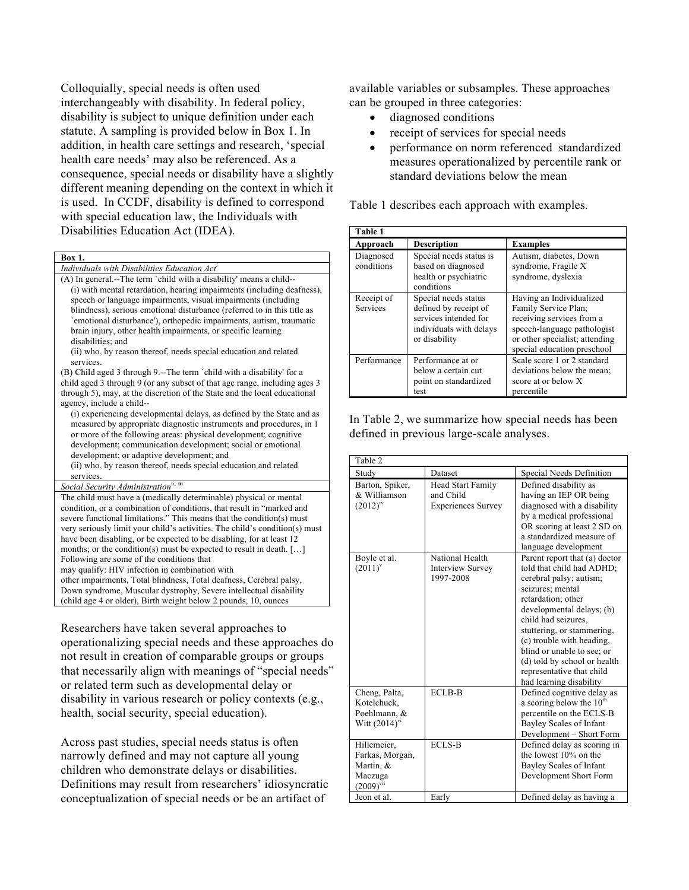Colloquially, special needs is often used interchangeably with disability. In federal policy, disability is subject to unique definition under each statute. A sampling is provided below in Box 1. In addition, in health care settings and research, 'special health care needs' may also be referenced. As a consequence, special needs or disability have a slightly different meaning depending on the context in which it is used. In CCDF, disability is defined to correspond with special education law, the Individuals with Disabilities Education Act (IDEA).

#### **Box 1.**

*Individuals with Disabilities Education Act<sup>i</sup>*

(A) In general.--The term `child with a disability' means a child-- (i) with mental retardation, hearing impairments (including deafness), speech or language impairments, visual impairments (including blindness), serious emotional disturbance (referred to in this title as `emotional disturbance'), orthopedic impairments, autism, traumatic brain injury, other health impairments, or specific learning disabilities: and

(ii) who, by reason thereof, needs special education and related services.

(B) Child aged 3 through 9.--The term `child with a disability' for a child aged 3 through 9 (or any subset of that age range, including ages 3 through 5), may, at the discretion of the State and the local educational agency, include a child--

(i) experiencing developmental delays, as defined by the State and as measured by appropriate diagnostic instruments and procedures, in 1 or more of the following areas: physical development; cognitive development; communication development; social or emotional development; or adaptive development; and

(ii) who, by reason thereof, needs special education and related services.

#### *Social Security Administration*<sup>ii, *i*</sup>

The child must have a (medically determinable) physical or mental condition, or a combination of conditions, that result in "marked and severe functional limitations." This means that the condition(s) must very seriously limit your child's activities. The child's condition(s) must have been disabling, or be expected to be disabling, for at least 12 months; or the condition(s) must be expected to result in death. [...] Following are some of the conditions that may qualify: HIV infection in combination with other impairments, Total blindness, Total deafness, Cerebral palsy, Down syndrome, Muscular dystrophy, Severe intellectual disability (child age 4 or older), Birth weight below 2 pounds, 10, ounces

Researchers have taken several approaches to operationalizing special needs and these approaches do not result in creation of comparable groups or groups that necessarily align with meanings of "special needs" or related term such as developmental delay or disability in various research or policy contexts (e.g., health, social security, special education).

Across past studies, special needs status is often narrowly defined and may not capture all young children who demonstrate delays or disabilities. Definitions may result from researchers' idiosyncratic conceptualization of special needs or be an artifact of

available variables or subsamples. These approaches can be grouped in three categories:

- diagnosed conditions
- receipt of services for special needs
- performance on norm referenced standardized measures operationalized by percentile rank or standard deviations below the mean

Table 1 describes each approach with examples.

| Table 1                 |                                                                                                                    |                                                                                                                                                                               |  |  |
|-------------------------|--------------------------------------------------------------------------------------------------------------------|-------------------------------------------------------------------------------------------------------------------------------------------------------------------------------|--|--|
| Approach                | <b>Description</b>                                                                                                 | <b>Examples</b>                                                                                                                                                               |  |  |
| Diagnosed<br>conditions | Special needs status is<br>based on diagnosed<br>health or psychiatric<br>conditions                               | Autism, diabetes, Down<br>syndrome, Fragile X<br>syndrome, dyslexia                                                                                                           |  |  |
| Receipt of<br>Services  | Special needs status<br>defined by receipt of<br>services intended for<br>individuals with delays<br>or disability | Having an Individualized<br>Family Service Plan;<br>receiving services from a<br>speech-language pathologist<br>or other specialist; attending<br>special education preschool |  |  |
| Performance             | Performance at or<br>below a certain cut<br>point on standardized<br>test                                          | Scale score 1 or 2 standard<br>deviations below the mean;<br>score at or below X<br>percentile                                                                                |  |  |

In Table 2, we summarize how special needs has been defined in previous large-scale analyses.

| Table 2                                                                                |                                                                    |                                                                                                                                                                                                                                                                                                                                                                      |  |
|----------------------------------------------------------------------------------------|--------------------------------------------------------------------|----------------------------------------------------------------------------------------------------------------------------------------------------------------------------------------------------------------------------------------------------------------------------------------------------------------------------------------------------------------------|--|
| Study                                                                                  | Dataset                                                            | Special Needs Definition                                                                                                                                                                                                                                                                                                                                             |  |
| Barton, Spiker,<br>& Williamson<br>$(2012)^{1}$                                        | <b>Head Start Family</b><br>and Child<br><b>Experiences Survey</b> | Defined disability as<br>having an IEP OR being<br>diagnosed with a disability<br>by a medical professional<br>OR scoring at least 2 SD on<br>a standardized measure of<br>language development                                                                                                                                                                      |  |
| Boyle et al.<br>$(2011)^{v}$                                                           | National Health<br><b>Interview Survey</b><br>1997-2008            | Parent report that (a) doctor<br>told that child had ADHD;<br>cerebral palsy; autism;<br>seizures; mental<br>retardation; other<br>developmental delays; (b)<br>child had seizures.<br>stuttering, or stammering,<br>(c) trouble with heading,<br>blind or unable to see; or<br>(d) told by school or health<br>representative that child<br>had learning disability |  |
| Cheng, Palta,<br>Kotelchuck,<br>Poehlmann, &<br>Witt $(2014)$ <sup>vi</sup>            | <b>ECLB-B</b>                                                      | Defined cognitive delay as<br>a scoring below the $10th$<br>percentile on the ECLS-B<br>Bayley Scales of Infant<br>Development – Short Form                                                                                                                                                                                                                          |  |
| Hillemeier,<br>Farkas, Morgan,<br>Martin, &<br>Maczuga<br>$(2009)^{vu}$<br>Jeon et al. | <b>ECLS-B</b><br>Early                                             | Defined delay as scoring in<br>the lowest 10% on the<br>Bayley Scales of Infant<br>Development Short Form<br>Defined delay as having a                                                                                                                                                                                                                               |  |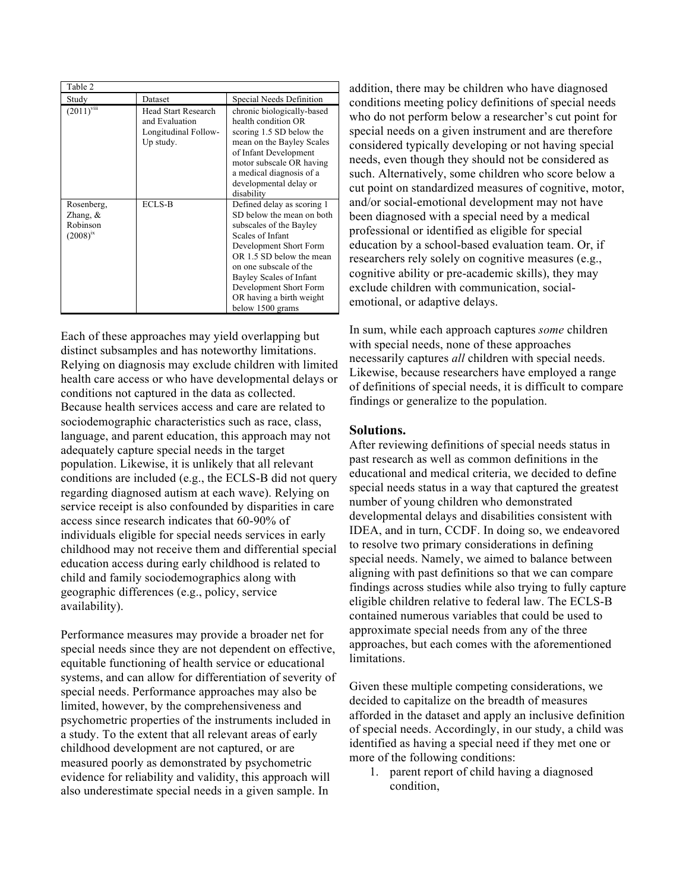| Table 2                                               |                                                                                   |                                                                                                                                                                                                                                                                                             |
|-------------------------------------------------------|-----------------------------------------------------------------------------------|---------------------------------------------------------------------------------------------------------------------------------------------------------------------------------------------------------------------------------------------------------------------------------------------|
| Study                                                 | Dataset                                                                           | Special Needs Definition                                                                                                                                                                                                                                                                    |
| $(2011)^{viii}$                                       | <b>Head Start Research</b><br>and Evaluation<br>Longitudinal Follow-<br>Up study. | chronic biologically-based<br>health condition OR<br>scoring 1.5 SD below the<br>mean on the Bayley Scales<br>of Infant Development<br>motor subscale OR having<br>a medical diagnosis of a<br>developmental delay or<br>disability                                                         |
| Rosenberg,<br>Zhang, $\&$<br>Robinson<br>$(2008)^{1}$ | ECLS-B                                                                            | Defined delay as scoring 1<br>SD below the mean on both<br>subscales of the Bayley<br>Scales of Infant<br>Development Short Form<br>OR 1.5 SD below the mean<br>on one subscale of the<br>Bayley Scales of Infant<br>Development Short Form<br>OR having a birth weight<br>below 1500 grams |

Each of these approaches may yield overlapping but distinct subsamples and has noteworthy limitations. Relying on diagnosis may exclude children with limited health care access or who have developmental delays or conditions not captured in the data as collected. Because health services access and care are related to sociodemographic characteristics such as race, class, language, and parent education, this approach may not adequately capture special needs in the target population. Likewise, it is unlikely that all relevant conditions are included (e.g., the ECLS-B did not query regarding diagnosed autism at each wave). Relying on service receipt is also confounded by disparities in care access since research indicates that 60-90% of individuals eligible for special needs services in early childhood may not receive them and differential special education access during early childhood is related to child and family sociodemographics along with geographic differences (e.g., policy, service availability).

Performance measures may provide a broader net for special needs since they are not dependent on effective, equitable functioning of health service or educational systems, and can allow for differentiation of severity of special needs. Performance approaches may also be limited, however, by the comprehensiveness and psychometric properties of the instruments included in a study. To the extent that all relevant areas of early childhood development are not captured, or are measured poorly as demonstrated by psychometric evidence for reliability and validity, this approach will also underestimate special needs in a given sample. In

addition, there may be children who have diagnosed conditions meeting policy definitions of special needs who do not perform below a researcher's cut point for special needs on a given instrument and are therefore considered typically developing or not having special needs, even though they should not be considered as such. Alternatively, some children who score below a cut point on standardized measures of cognitive, motor, and/or social-emotional development may not have been diagnosed with a special need by a medical professional or identified as eligible for special education by a school-based evaluation team. Or, if researchers rely solely on cognitive measures (e.g., cognitive ability or pre-academic skills), they may exclude children with communication, socialemotional, or adaptive delays.

In sum, while each approach captures *some* children with special needs, none of these approaches necessarily captures *all* children with special needs. Likewise, because researchers have employed a range of definitions of special needs, it is difficult to compare findings or generalize to the population.

### **Solutions.**

After reviewing definitions of special needs status in past research as well as common definitions in the educational and medical criteria, we decided to define special needs status in a way that captured the greatest number of young children who demonstrated developmental delays and disabilities consistent with IDEA, and in turn, CCDF. In doing so, we endeavored to resolve two primary considerations in defining special needs. Namely, we aimed to balance between aligning with past definitions so that we can compare findings across studies while also trying to fully capture eligible children relative to federal law. The ECLS-B contained numerous variables that could be used to approximate special needs from any of the three approaches, but each comes with the aforementioned limitations.

Given these multiple competing considerations, we decided to capitalize on the breadth of measures afforded in the dataset and apply an inclusive definition of special needs. Accordingly, in our study, a child was identified as having a special need if they met one or more of the following conditions:

1. parent report of child having a diagnosed condition,